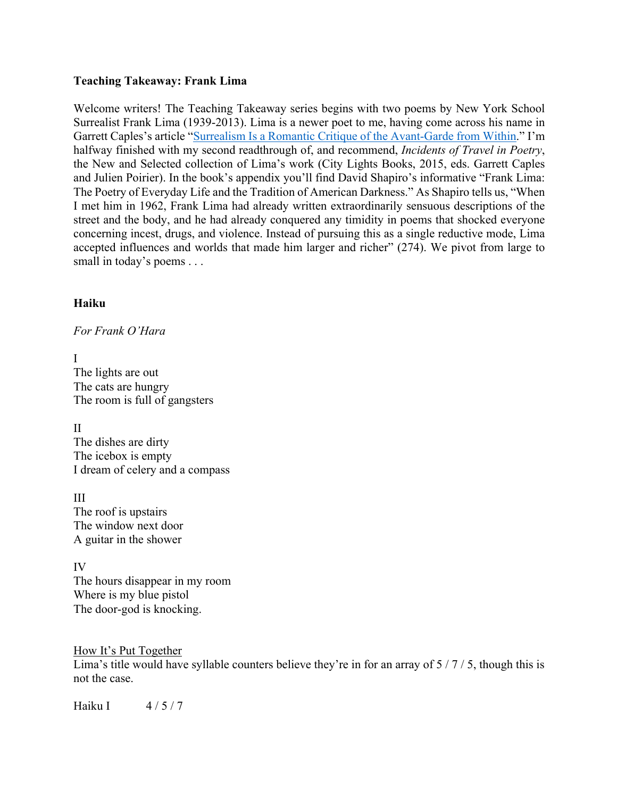## **Teaching Takeaway: Frank Lima**

Welcome writers! The Teaching Takeaway series begins with two poems by New York School Surrealist Frank Lima (1939-2013). Lima is a newer poet to me, having come across his name in Garrett Caples's article "Surrealism Is a Romantic Critique of the Avant-Garde from Within." I'm halfway finished with my second readthrough of, and recommend, *Incidents of Travel in Poetry*, the New and Selected collection of Lima's work (City Lights Books, 2015, eds. Garrett Caples and Julien Poirier). In the book's appendix you'll find David Shapiro's informative "Frank Lima: The Poetry of Everyday Life and the Tradition of American Darkness." As Shapiro tells us, "When I met him in 1962, Frank Lima had already written extraordinarily sensuous descriptions of the street and the body, and he had already conquered any timidity in poems that shocked everyone concerning incest, drugs, and violence. Instead of pursuing this as a single reductive mode, Lima accepted influences and worlds that made him larger and richer" (274). We pivot from large to small in today's poems . . .

# **Haiku**

*For Frank O'Hara*

I The lights are out The cats are hungry The room is full of gangsters

II The dishes are dirty The icebox is empty I dream of celery and a compass

III The roof is upstairs The window next door A guitar in the shower

IV The hours disappear in my room Where is my blue pistol The door-god is knocking.

How It's Put Together Lima's title would have syllable counters believe they're in for an array of  $5/7/5$ , though this is not the case.

Haiku I  $4/5/7$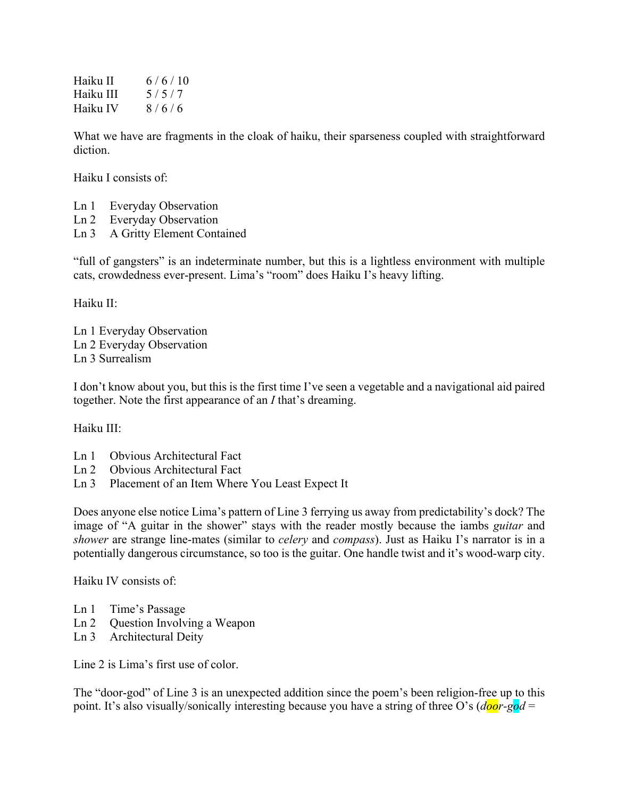Haiku II  $6/6/10$ Haiku III  $5/5/7$ Haiku IV  $8/6/6$ 

What we have are fragments in the cloak of haiku, their sparseness coupled with straightforward diction.

Haiku I consists of:

- Ln 1 Everyday Observation
- Ln 2 Everyday Observation
- Ln 3 A Gritty Element Contained

"full of gangsters" is an indeterminate number, but this is a lightless environment with multiple cats, crowdedness ever-present. Lima's "room" does Haiku I's heavy lifting.

Haiku II:

Ln 1 Everyday Observation Ln 2 Everyday Observation Ln 3 Surrealism

I don't know about you, but this is the first time I've seen a vegetable and a navigational aid paired together. Note the first appearance of an *I* that's dreaming.

Haiku III:

- Ln 1 Obvious Architectural Fact
- Ln 2 Obvious Architectural Fact
- Ln 3 Placement of an Item Where You Least Expect It

Does anyone else notice Lima's pattern of Line 3 ferrying us away from predictability's dock? The image of "A guitar in the shower" stays with the reader mostly because the iambs *guitar* and *shower* are strange line-mates (similar to *celery* and *compass*). Just as Haiku I's narrator is in a potentially dangerous circumstance, so too is the guitar. One handle twist and it's wood-warp city.

Haiku IV consists of:

- Ln 1 Time's Passage
- Ln 2 Question Involving a Weapon
- Ln 3 Architectural Deity

Line 2 is Lima's first use of color.

The "door-god" of Line 3 is an unexpected addition since the poem's been religion-free up to this point. It's also visually/sonically interesting because you have a string of three O's (*door-god* =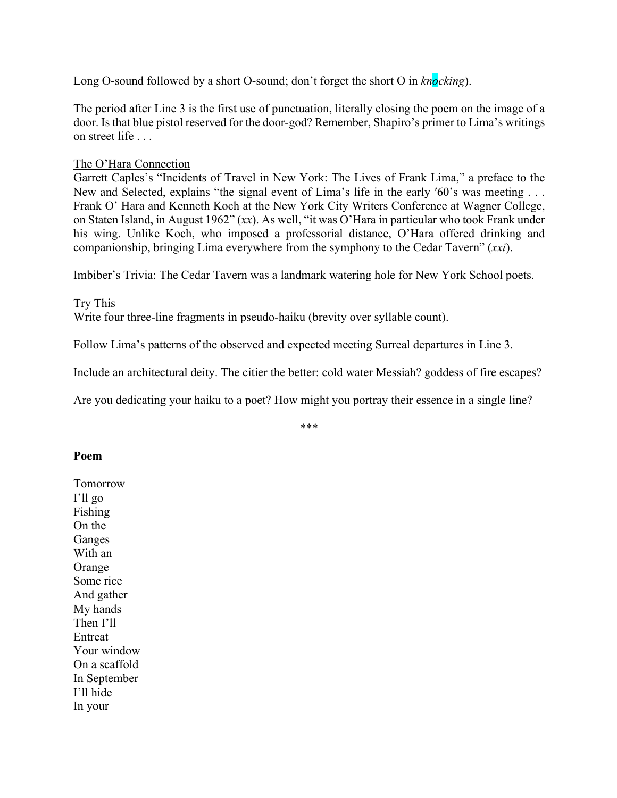Long O-sound followed by a short O-sound; don't forget the short O in *knocking*).

The period after Line 3 is the first use of punctuation, literally closing the poem on the image of a door. Is that blue pistol reserved for the door-god? Remember, Shapiro's primer to Lima's writings on street life . . .

## The O'Hara Connection

Garrett Caples's "Incidents of Travel in New York: The Lives of Frank Lima," a preface to the New and Selected, explains "the signal event of Lima's life in the early '60's was meeting . . . Frank O' Hara and Kenneth Koch at the New York City Writers Conference at Wagner College, on Staten Island, in August 1962" (*xx*). As well, "it was O'Hara in particular who took Frank under his wing. Unlike Koch, who imposed a professorial distance, O'Hara offered drinking and companionship, bringing Lima everywhere from the symphony to the Cedar Tavern" (*xxi*).

Imbiber's Trivia: The Cedar Tavern was a landmark watering hole for New York School poets.

Try This

Write four three-line fragments in pseudo-haiku (brevity over syllable count).

Follow Lima's patterns of the observed and expected meeting Surreal departures in Line 3.

Include an architectural deity. The citier the better: cold water Messiah? goddess of fire escapes?

Are you dedicating your haiku to a poet? How might you portray their essence in a single line?

\*\*\*

#### **Poem**

Tomorrow I'll go Fishing On the Ganges With an Orange Some rice And gather My hands Then I'll Entreat Your window On a scaffold In September I'll hide In your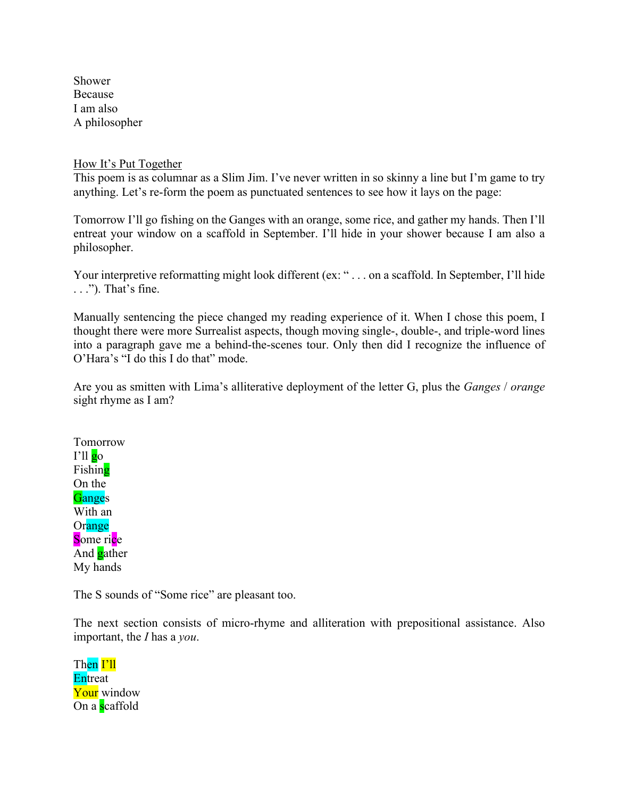Shower Because I am also A philosopher

#### How It's Put Together

This poem is as columnar as a Slim Jim. I've never written in so skinny a line but I'm game to try anything. Let's re-form the poem as punctuated sentences to see how it lays on the page:

Tomorrow I'll go fishing on the Ganges with an orange, some rice, and gather my hands. Then I'll entreat your window on a scaffold in September. I'll hide in your shower because I am also a philosopher.

Your interpretive reformatting might look different (ex: "... on a scaffold. In September, I'll hide . . ."). That's fine.

Manually sentencing the piece changed my reading experience of it. When I chose this poem, I thought there were more Surrealist aspects, though moving single-, double-, and triple-word lines into a paragraph gave me a behind-the-scenes tour. Only then did I recognize the influence of O'Hara's "I do this I do that" mode.

Are you as smitten with Lima's alliterative deployment of the letter G, plus the *Ganges* / *orange*  sight rhyme as I am?

Tomorrow  $\Gamma$ <sup>ll</sup> go Fishing On the **Ganges** With an Orange Some rice And **g**ather My hands

The S sounds of "Some rice" are pleasant too.

The next section consists of micro-rhyme and alliteration with prepositional assistance. Also important, the *I* has a *you*.

Then I'll **Entreat** Your window On a scaffold